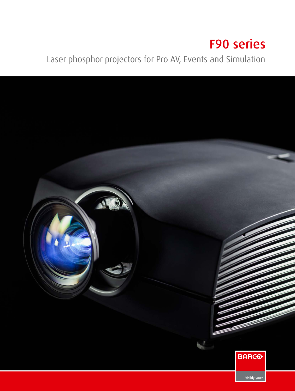# F90 series

Laser phosphor projectors for Pro AV, Events and Simulation

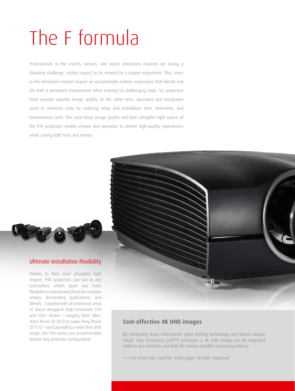# The F formula

Professionals in the events, venues, and visitor attractions markets are facing a daunting challenge: visitors expect to be wowed by a unique experience. Plus, users in the simulation market require an exceptionally realistic experience that blends real life with a simulated environment when training for challenging tasks. So, projectors must provide superior image quality. At the same time, operators and integrators need to minimize costs by reducing setup and installation time, downtime, and maintenance costs. The razor-sharp image quality and laser phosphor light source of the F90 projectors enable venues and operators to deliver high-quality experiences while saving both time and money.



#### Ultimate installation flexibility

Thanks to their laser phosphor light engine, F90 projectors can run in any orientation, which gives you more flexibility in positioning them for complex setups, demanding applications, and blends. Coupled with an extensive array of Barco-designed high-resolution FLD and FLD+ lenses – ranging from ultrashort throw (0.28:1) to super-long throw (9.75:1) – each providing a wide lens shift range, the F90 series can accommodate almost any projector configuration.



#### **Cost-effective 4K UHD images**

By combining Texas Instruments' pixel shifting technology and Barco's unique Single Step Processing (SSP™) technique a 4K UHD image can be displayed without any artefacts and with the lowest possible processing latency.

>>> For more info, read the white paper '4K UHD explained'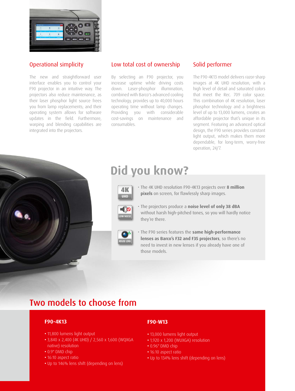

#### Operational simplicity

The new and straightforward user interface enables you to control your F90 projector in an intuitive way. The projectors also reduce maintenance, as their laser phosphor light source frees you from lamp replacements; and their operating system allows for software updates in the field. Furthermore, warping and blending capabilities are integrated into the projectors.

#### Low total cost of ownership

By selecting an F90 projector, you increase uptime while driving costs down. Laser-phosphor illumination, combined with Barco's advanced cooling technology, provides up to 40,000 hours operating time without lamp changes. Providing you with considerable cost-savings on maintenance and consumables.

#### Solid performer

The F90-4K13 model delivers razor-sharp images at 4K UHD resolution, with a high level of detail and saturated colors that meet the Rec. 709 color space. This combination of 4K resolution, laser phosphor technology and a brightness level of up to 13,000 lumens, creates an affordable projector that's unique in its segment. Featuring an advanced optical design, the F90 series provides constant light output, which makes them more dependable, for long-term, worry-free operation, 24/7.



## **Did you know?**

- $4<sub>K</sub>$ **UHD**
- The 4K UHD resolution F90-4K13 projects over **8 million pixels** on screen, for flawlessly sharp images.



• The projectors produce a **noise level of only 38 dBA** without harsh high-pitched tones, so you will hardly notice they're there.



• The F90 series features the **same high-performance lenses as Barco's F32 and F35 projectors**, so there's no need to invest in new lenses if you already have one of those models.

## Two models to choose from

#### **F90-4K13**

- 11,800 lumens light output
- 3,840 x 2,400 (4K UHD) / 2,560 x 1,600 (WQXGA native) resolution
- 0.9" DMD chip
- 16:10 aspect ratio
- Up to 146% lens shift (depending on lens)

#### **F90-W13**

- 13,000 lumens light output
- 1,920 x 1,200 (WUXGA) resolution
- 0.96" DMD chip
- 16:10 aspect ratio
- Up to 134% lens shift (depending on lens)